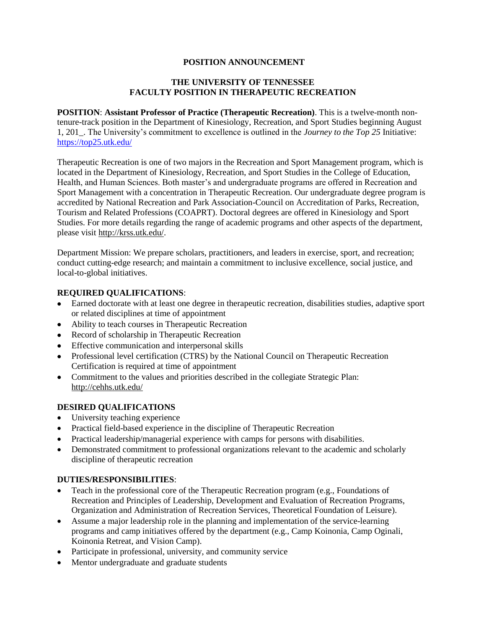### **POSITION ANNOUNCEMENT**

### **THE UNIVERSITY OF TENNESSEE FACULTY POSITION IN THERAPEUTIC RECREATION**

**POSITION**: **Assistant Professor of Practice (Therapeutic Recreation)**. This is a twelve-month nontenure-track position in the Department of Kinesiology, Recreation, and Sport Studies beginning August 1, 201\_. The University's commitment to excellence is outlined in the *Journey to the Top 25* Initiative: <https://top25.utk.edu/>

Therapeutic Recreation is one of two majors in the Recreation and Sport Management program, which is located in the Department of Kinesiology, Recreation, and Sport Studies in the College of Education, Health, and Human Sciences. Both master's and undergraduate programs are offered in Recreation and Sport Management with a concentration in Therapeutic Recreation. Our undergraduate degree program is accredited by National Recreation and Park Association-Council on Accreditation of Parks, Recreation, Tourism and Related Professions (COAPRT). Doctoral degrees are offered in Kinesiology and Sport Studies. For more details regarding the range of academic programs and other aspects of the department, please visit http://krss.utk.edu/.

Department Mission: We prepare scholars, practitioners, and leaders in exercise, sport, and recreation; conduct cutting-edge research; and maintain a commitment to inclusive excellence, social justice, and local-to-global initiatives.

# **REQUIRED QUALIFICATIONS**:

- Earned doctorate with at least one degree in therapeutic recreation, disabilities studies, adaptive sport or related disciplines at time of appointment
- Ability to teach courses in Therapeutic Recreation
- Record of scholarship in Therapeutic Recreation
- Effective communication and interpersonal skills
- Professional level certification (CTRS) by the National Council on Therapeutic Recreation Certification is required at time of appointment
- Commitment to the values and priorities described in the collegiate Strategic Plan: <http://cehhs.utk.edu/>

#### **DESIRED QUALIFICATIONS**

- University teaching experience
- Practical field-based experience in the discipline of Therapeutic Recreation
- Practical leadership/managerial experience with camps for persons with disabilities.
- Demonstrated commitment to professional organizations relevant to the academic and scholarly discipline of therapeutic recreation

#### **DUTIES/RESPONSIBILITIES**:

- Teach in the professional core of the Therapeutic Recreation program (e.g., Foundations of Recreation and Principles of Leadership, Development and Evaluation of Recreation Programs, Organization and Administration of Recreation Services, Theoretical Foundation of Leisure).
- Assume a major leadership role in the planning and implementation of the service-learning programs and camp initiatives offered by the department (e.g., Camp Koinonia, Camp Oginali, Koinonia Retreat, and Vision Camp).
- Participate in professional, university, and community service
- Mentor undergraduate and graduate students